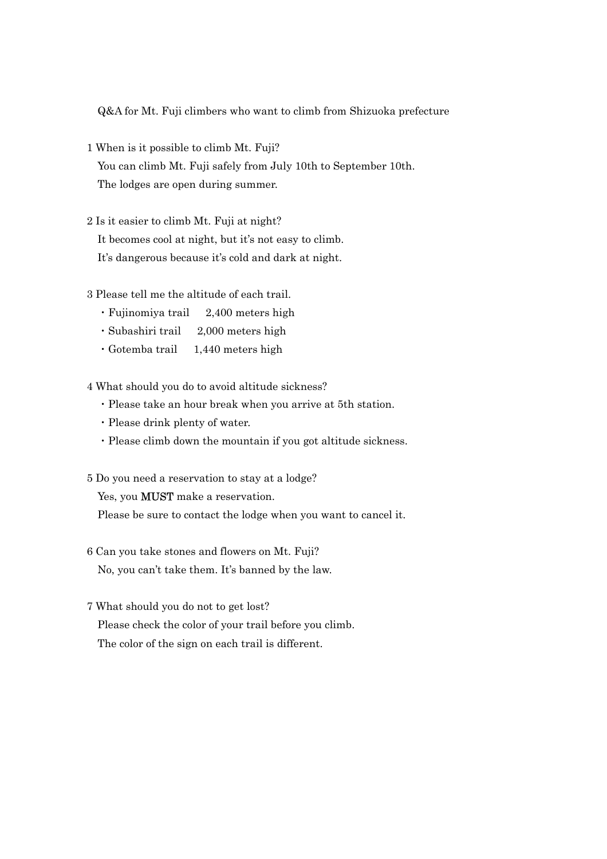Q&A for Mt. Fuji climbers who want to climb from Shizuoka prefecture

- 1 When is it possible to climb Mt. Fuji? You can climb Mt. Fuji safely from July 10th to September 10th. The lodges are open during summer.
- 2 Is it easier to climb Mt. Fuji at night? It becomes cool at night, but it's not easy to climb. It's dangerous because it's cold and dark at night.
- 3 Please tell me the altitude of each trail.
	- ・Fujinomiya trail 2,400 meters high
	- ・Subashiri trail 2,000 meters high
	- ・Gotemba trail 1,440 meters high

4 What should you do to avoid altitude sickness?

- ・Please take an hour break when you arrive at 5th station.
- ・Please drink plenty of water.
- ・Please climb down the mountain if you got altitude sickness.
- 5 Do you need a reservation to stay at a lodge?

Yes, you **MUST** make a reservation.

Please be sure to contact the lodge when you want to cancel it.

- 6 Can you take stones and flowers on Mt. Fuji? No, you can't take them. It's banned by the law.
- 7 What should you do not to get lost? Please check the color of your trail before you climb. The color of the sign on each trail is different.